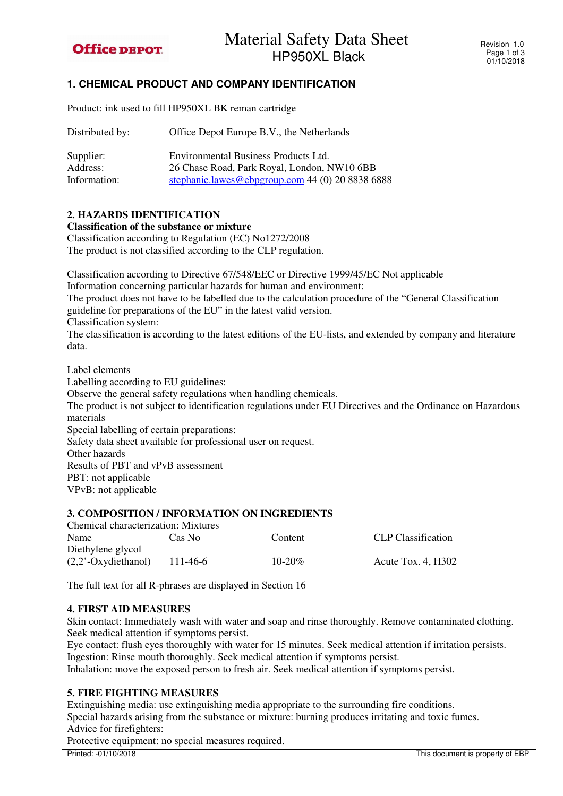# **1. CHEMICAL PRODUCT AND COMPANY IDENTIFICATION**

Product: ink used to fill HP950XL BK reman cartridge

| Distributed by: | Office Depot Europe B.V., the Netherlands        |  |  |
|-----------------|--------------------------------------------------|--|--|
| Supplier:       | Environmental Business Products Ltd.             |  |  |
| Address:        | 26 Chase Road, Park Royal, London, NW10 6BB      |  |  |
| Information:    | stephanie.lawes@ebpgroup.com 44 (0) 20 8838 6888 |  |  |

## **2. HAZARDS IDENTIFICATION**

**Classification of the substance or mixture** 

Classification according to Regulation (EC) No1272/2008 The product is not classified according to the CLP regulation.

Classification according to Directive 67/548/EEC or Directive 1999/45/EC Not applicable

Information concerning particular hazards for human and environment:

The product does not have to be labelled due to the calculation procedure of the "General Classification guideline for preparations of the EU" in the latest valid version.

Classification system:

The classification is according to the latest editions of the EU-lists, and extended by company and literature data.

Label elements

Labelling according to EU guidelines:

Observe the general safety regulations when handling chemicals.

The product is not subject to identification regulations under EU Directives and the Ordinance on Hazardous materials

Special labelling of certain preparations:

Safety data sheet available for professional user on request.

Other hazards

Results of PBT and vPvB assessment

PBT: not applicable

VPvB: not applicable

#### **3. COMPOSITION / INFORMATION ON INGREDIENTS**

| Chemical characterization: Mixtures |          |             |                           |  |
|-------------------------------------|----------|-------------|---------------------------|--|
| Name                                | Cas No   | Content     | <b>CLP</b> Classification |  |
| Diethylene glycol                   |          |             |                           |  |
| $(2,2)$ <sup>-</sup> Oxydiethanol)  | 111-46-6 | $10 - 20\%$ | Acute Tox. $4. H302$      |  |
|                                     |          |             |                           |  |

The full text for all R-phrases are displayed in Section 16

#### **4. FIRST AID MEASURES**

Skin contact: Immediately wash with water and soap and rinse thoroughly. Remove contaminated clothing. Seek medical attention if symptoms persist.

Eye contact: flush eyes thoroughly with water for 15 minutes. Seek medical attention if irritation persists. Ingestion: Rinse mouth thoroughly. Seek medical attention if symptoms persist. Inhalation: move the exposed person to fresh air. Seek medical attention if symptoms persist.

## **5. FIRE FIGHTING MEASURES**

Extinguishing media: use extinguishing media appropriate to the surrounding fire conditions. Special hazards arising from the substance or mixture: burning produces irritating and toxic fumes. Advice for firefighters:

Protective equipment: no special measures required.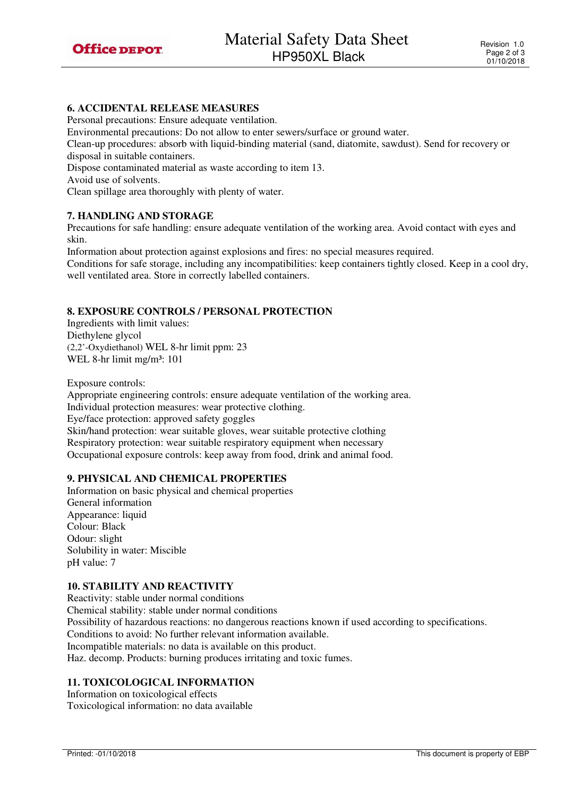

## **6. ACCIDENTAL RELEASE MEASURES**

Personal precautions: Ensure adequate ventilation.

Environmental precautions: Do not allow to enter sewers/surface or ground water.

Clean-up procedures: absorb with liquid-binding material (sand, diatomite, sawdust). Send for recovery or disposal in suitable containers.

Dispose contaminated material as waste according to item 13.

Avoid use of solvents.

Clean spillage area thoroughly with plenty of water.

## **7. HANDLING AND STORAGE**

Precautions for safe handling: ensure adequate ventilation of the working area. Avoid contact with eyes and skin.

Information about protection against explosions and fires: no special measures required.

Conditions for safe storage, including any incompatibilities: keep containers tightly closed. Keep in a cool dry, well ventilated area. Store in correctly labelled containers.

## **8. EXPOSURE CONTROLS / PERSONAL PROTECTION**

Ingredients with limit values: Diethylene glycol (2,2'-Oxydiethanol) WEL 8-hr limit ppm: 23 WEL 8-hr limit mg/m<sup>3</sup>: 101

Exposure controls:

Appropriate engineering controls: ensure adequate ventilation of the working area. Individual protection measures: wear protective clothing. Eye/face protection: approved safety goggles Skin/hand protection: wear suitable gloves, wear suitable protective clothing Respiratory protection: wear suitable respiratory equipment when necessary Occupational exposure controls: keep away from food, drink and animal food.

#### **9. PHYSICAL AND CHEMICAL PROPERTIES**

Information on basic physical and chemical properties General information Appearance: liquid Colour: Black Odour: slight Solubility in water: Miscible pH value: 7

## **10. STABILITY AND REACTIVITY**

Reactivity: stable under normal conditions Chemical stability: stable under normal conditions Possibility of hazardous reactions: no dangerous reactions known if used according to specifications. Conditions to avoid: No further relevant information available. Incompatible materials: no data is available on this product. Haz. decomp. Products: burning produces irritating and toxic fumes.

## **11. TOXICOLOGICAL INFORMATION**

Information on toxicological effects Toxicological information: no data available